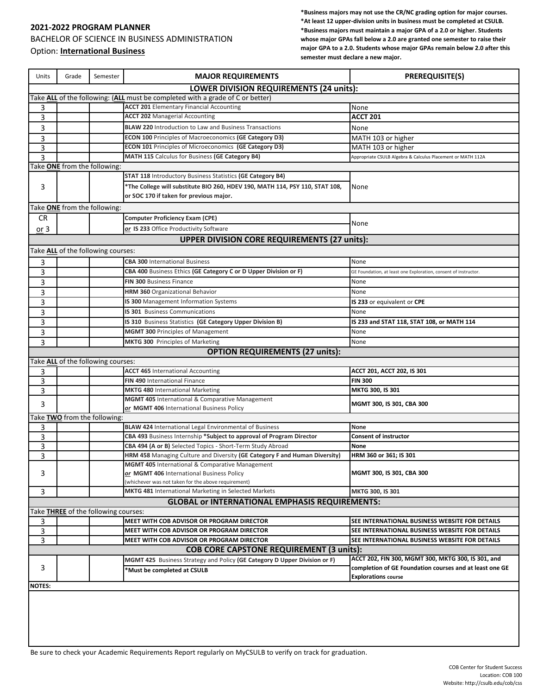## **2021-2022 PROGRAM PLANNER** BACHELOR OF SCIENCE IN BUSINESS ADMINISTRATION Option: **International Business**

**\*Business majors may not use the CR/NC grading option for major courses. \*At least 12 upper-division units in business must be completed at CSULB. \*Business majors must maintain a major GPA of a 2.0 or higher. Students whose major GPAs fall below a 2.0 are granted one semester to raise their major GPA to a 2.0. Students whose major GPAs remain below 2.0 after this semester must declare a new major.**

| Units                                                                          | Grade | Semester                           | <b>MAJOR REQUIREMENTS</b>                                                                                               | <b>PREREQUISITE(S)</b>                                          |  |
|--------------------------------------------------------------------------------|-------|------------------------------------|-------------------------------------------------------------------------------------------------------------------------|-----------------------------------------------------------------|--|
| <b>LOWER DIVISION REQUIREMENTS (24 units):</b>                                 |       |                                    |                                                                                                                         |                                                                 |  |
| Take ALL of the following: (ALL must be completed with a grade of C or better) |       |                                    |                                                                                                                         |                                                                 |  |
| 3                                                                              |       |                                    | <b>ACCT 201 Elementary Financial Accounting</b>                                                                         | None                                                            |  |
| 3                                                                              |       |                                    | <b>ACCT 202 Managerial Accounting</b>                                                                                   | <b>ACCT 201</b>                                                 |  |
| 3                                                                              |       |                                    | <b>BLAW 220 Introduction to Law and Business Transactions</b>                                                           | None                                                            |  |
| 3                                                                              |       |                                    | <b>ECON 100 Principles of Macroeconomics (GE Category D3)</b>                                                           | MATH 103 or higher                                              |  |
| 3                                                                              |       |                                    | ECON 101 Principles of Microeconomics (GE Category D3)                                                                  | MATH 103 or higher                                              |  |
| 3                                                                              |       |                                    | MATH 115 Calculus for Business (GE Category B4)                                                                         | Appropriate CSULB Algebra & Calculus Placement or MATH 112A     |  |
| Take ONE from the following:                                                   |       |                                    |                                                                                                                         |                                                                 |  |
| 3                                                                              |       |                                    | <b>STAT 118 Introductory Business Statistics (GE Category B4)</b>                                                       |                                                                 |  |
|                                                                                |       |                                    | *The College will substitute BIO 260, HDEV 190, MATH 114, PSY 110, STAT 108,<br>or SOC 170 if taken for previous major. | None                                                            |  |
| Take ONE from the following:                                                   |       |                                    |                                                                                                                         |                                                                 |  |
| CR                                                                             |       |                                    | Computer Proficiency Exam (CPE)                                                                                         |                                                                 |  |
| or 3                                                                           |       |                                    | or IS 233 Office Productivity Software                                                                                  | None                                                            |  |
|                                                                                |       |                                    | <b>UPPER DIVISION CORE REQUIREMENTS (27 units):</b>                                                                     |                                                                 |  |
| Take ALL of the following courses:                                             |       |                                    |                                                                                                                         |                                                                 |  |
|                                                                                |       |                                    | <b>CBA 300 International Business</b>                                                                                   | None                                                            |  |
| 3                                                                              |       |                                    | CBA 400 Business Ethics (GE Category C or D Upper Division or F)                                                        |                                                                 |  |
| 3                                                                              |       |                                    |                                                                                                                         | GE Foundation, at least one Exploration, consent of instructor. |  |
| 3                                                                              |       |                                    | FIN 300 Business Finance                                                                                                | None                                                            |  |
| 3                                                                              |       |                                    | <b>HRM 360</b> Organizational Behavior                                                                                  | None                                                            |  |
| 3                                                                              |       |                                    | <b>IS 300</b> Management Information Systems                                                                            | IS 233 or equivalent or CPE                                     |  |
| 3                                                                              |       |                                    | IS 301 Business Communications                                                                                          | None                                                            |  |
| 3                                                                              |       |                                    | IS 310 Business Statistics (GE Category Upper Division B)                                                               | IS 233 and STAT 118, STAT 108, or MATH 114                      |  |
| 3                                                                              |       |                                    | <b>MGMT 300 Principles of Management</b>                                                                                | None                                                            |  |
| 3                                                                              |       |                                    | <b>MKTG 300</b> Principles of Marketing                                                                                 | None                                                            |  |
| <b>OPTION REQUIREMENTS (27 units):</b>                                         |       |                                    |                                                                                                                         |                                                                 |  |
|                                                                                |       | Take ALL of the following courses: |                                                                                                                         |                                                                 |  |
| 3                                                                              |       |                                    | <b>ACCT 465 International Accounting</b>                                                                                | ACCT 201, ACCT 202, IS 301                                      |  |
| 3                                                                              |       |                                    | <b>FIN 490 International Finance</b>                                                                                    | <b>FIN 300</b>                                                  |  |
| 3                                                                              |       |                                    | <b>MKTG 480 International Marketing</b>                                                                                 | MKTG 300, IS 301                                                |  |
| 3                                                                              |       |                                    | <b>MGMT 405</b> International & Comparative Management<br>or MGMT 406 International Business Policy                     | MGMT 300, IS 301, CBA 300                                       |  |
| Take TWO from the following:                                                   |       |                                    |                                                                                                                         |                                                                 |  |
| 3                                                                              |       |                                    | <b>BLAW 424 International Legal Environmental of Business</b>                                                           | None                                                            |  |
| 3                                                                              |       |                                    | CBA 493 Business Internship *Subject to approval of Program Director                                                    | <b>Consent of instructor</b>                                    |  |
| 3                                                                              |       |                                    | CBA 494 (A or B) Selected Topics - Short-Term Study Abroad                                                              | None                                                            |  |
| 3                                                                              |       |                                    | HRM 458 Managing Culture and Diversity (GE Category F and Human Diversity)                                              | HRM 360 or 361; IS 301                                          |  |
|                                                                                |       |                                    | MGMT 405 International & Comparative Management                                                                         |                                                                 |  |
| 3                                                                              |       |                                    | or MGMT 406 International Business Policy                                                                               | MGMT 300, IS 301, CBA 300                                       |  |
|                                                                                |       |                                    | (whichever was not taken for the above requirement)                                                                     |                                                                 |  |
| 3                                                                              |       |                                    | <b>MKTG 481</b> International Marketing in Selected Markets                                                             | MKTG 300, IS 301                                                |  |
|                                                                                |       |                                    | <b>GLOBAL or INTERNATIONAL EMPHASIS REQUIREMENTS:</b>                                                                   |                                                                 |  |
| Take THREE of the following courses:                                           |       |                                    |                                                                                                                         |                                                                 |  |
| 3                                                                              |       |                                    | MEET WITH COB ADVISOR OR PROGRAM DIRECTOR                                                                               | SEE INTERNATIONAL BUSINESS WEBSITE FOR DETAILS                  |  |
| 3                                                                              |       |                                    | MEET WITH COB ADVISOR OR PROGRAM DIRECTOR                                                                               | SEE INTERNATIONAL BUSINESS WEBSITE FOR DETAILS                  |  |
| 3                                                                              |       |                                    | MEET WITH COB ADVISOR OR PROGRAM DIRECTOR                                                                               | SEE INTERNATIONAL BUSINESS WEBSITE FOR DETAILS                  |  |
| <b>COB CORE CAPSTONE REQUIREMENT (3 units):</b>                                |       |                                    |                                                                                                                         |                                                                 |  |
| 3                                                                              |       |                                    | MGMT 425 Business Strategy and Policy (GE Category D Upper Division or F)                                               | ACCT 202, FIN 300, MGMT 300, MKTG 300, IS 301, and              |  |
|                                                                                |       |                                    | *Must be completed at CSULB                                                                                             | completion of GE Foundation courses and at least one GE         |  |
| <b>NOTES:</b>                                                                  |       |                                    |                                                                                                                         | <b>Explorations course</b>                                      |  |
|                                                                                |       |                                    |                                                                                                                         |                                                                 |  |

Be sure to check your Academic Requirements Report regularly on MyCSULB to verify on track for graduation.